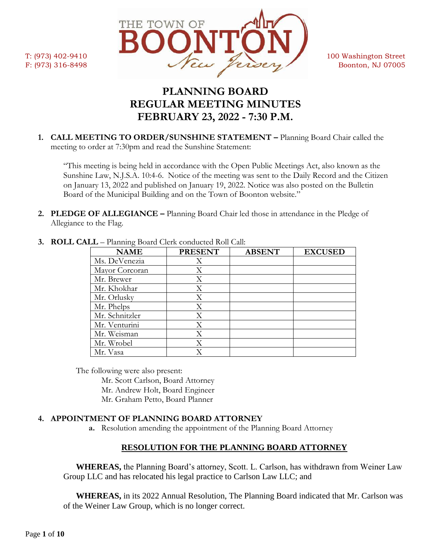

# **PLANNING BOARD REGULAR MEETING MINUTES FEBRUARY 23, 2022 - 7:30 P.M.**

**1. CALL MEETING TO ORDER/SUNSHINE STATEMENT –** Planning Board Chair called the meeting to order at 7:30pm and read the Sunshine Statement:

"This meeting is being held in accordance with the Open Public Meetings Act, also known as the Sunshine Law, N.J.S.A. 10:4-6. Notice of the meeting was sent to the Daily Record and the Citizen on January 13, 2022 and published on January 19, 2022. Notice was also posted on the Bulletin Board of the Municipal Building and on the Town of Boonton website."

**2. PLEDGE OF ALLEGIANCE –** Planning Board Chair led those in attendance in the Pledge of Allegiance to the Flag.

| <b>NAME</b>    | <b>PRESENT</b> | <b>ABSENT</b> | <b>EXCUSED</b> |
|----------------|----------------|---------------|----------------|
| Ms. DeVenezia  | Χ              |               |                |
| Mayor Corcoran | X              |               |                |
| Mr. Brewer     | X              |               |                |
| Mr. Khokhar    | X              |               |                |
| Mr. Orlusky    | X              |               |                |
| Mr. Phelps     | Χ              |               |                |
| Mr. Schnitzler | Χ              |               |                |
| Mr. Venturini  | Χ              |               |                |
| Mr. Weisman    | Χ              |               |                |
| Mr. Wrobel     | Χ              |               |                |
| Mr. Vasa       |                |               |                |

**3. ROLL CALL** – Planning Board Clerk conducted Roll Call:

The following were also present:

Mr. Scott Carlson, Board Attorney

Mr. Andrew Holt, Board Engineer

Mr. Graham Petto, Board Planner

# **4. APPOINTMENT OF PLANNING BOARD ATTORNEY**

**a.** Resolution amending the appointment of the Planning Board Attorney

# **RESOLUTION FOR THE PLANNING BOARD ATTORNEY**

**WHEREAS,** the Planning Board's attorney, Scott. L. Carlson, has withdrawn from Weiner Law Group LLC and has relocated his legal practice to Carlson Law LLC; and

**WHEREAS,** in its 2022 Annual Resolution, The Planning Board indicated that Mr. Carlson was of the Weiner Law Group, which is no longer correct.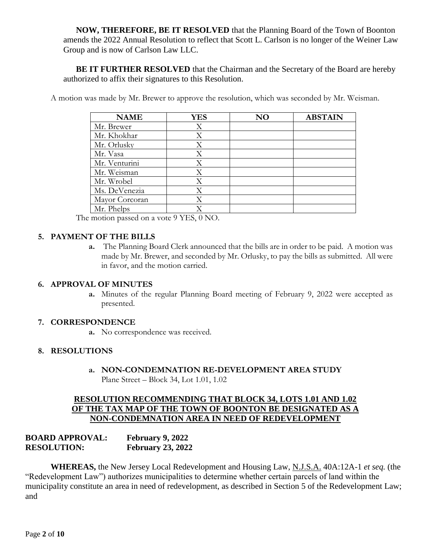**NOW, THEREFORE, BE IT RESOLVED** that the Planning Board of the Town of Boonton amends the 2022 Annual Resolution to reflect that Scott L. Carlson is no longer of the Weiner Law Group and is now of Carlson Law LLC.

**BE IT FURTHER RESOLVED** that the Chairman and the Secretary of the Board are hereby authorized to affix their signatures to this Resolution.

A motion was made by Mr. Brewer to approve the resolution, which was seconded by Mr. Weisman.

| <b>NAME</b>    | <b>YES</b> | NΟ | <b>ABSTAIN</b> |
|----------------|------------|----|----------------|
| Mr. Brewer     | Χ          |    |                |
| Mr. Khokhar    | Χ          |    |                |
| Mr. Orlusky    | Χ          |    |                |
| Mr. Vasa       | X          |    |                |
| Mr. Venturini  | Χ          |    |                |
| Mr. Weisman    | X          |    |                |
| Mr. Wrobel     | Χ          |    |                |
| Ms. DeVenezia  | Χ          |    |                |
| Mayor Corcoran | X          |    |                |
| Mr. Phelps     |            |    |                |

The motion passed on a vote 9 YES, 0 NO.

#### **5. PAYMENT OF THE BILLS**

**a.** The Planning Board Clerk announced that the bills are in order to be paid. A motion was made by Mr. Brewer, and seconded by Mr. Orlusky, to pay the bills as submitted. All were in favor, and the motion carried.

#### **6. APPROVAL OF MINUTES**

**a.** Minutes of the regular Planning Board meeting of February 9, 2022 were accepted as presented.

#### **7. CORRESPONDENCE**

**a.** No correspondence was received.

#### **8. RESOLUTIONS**

**a. NON-CONDEMNATION RE-DEVELOPMENT AREA STUDY** Plane Street – Block 34, Lot 1.01, 1.02

#### **RESOLUTION RECOMMENDING THAT BLOCK 34, LOTS 1.01 AND 1.02 OF THE TAX MAP OF THE TOWN OF BOONTON BE DESIGNATED AS A NON-CONDEMNATION AREA IN NEED OF REDEVELOPMENT**

| <b>BOARD APPROVAL:</b> | <b>February 9, 2022</b>  |
|------------------------|--------------------------|
| <b>RESOLUTION:</b>     | <b>February 23, 2022</b> |

**WHEREAS,** the New Jersey Local Redevelopment and Housing Law, N.J.S.A. 40A:12A-1 *et seq.* (the "Redevelopment Law") authorizes municipalities to determine whether certain parcels of land within the municipality constitute an area in need of redevelopment, as described in Section 5 of the Redevelopment Law; and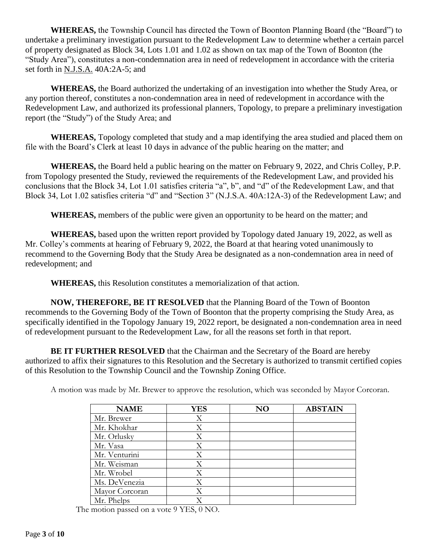**WHEREAS,** the Township Council has directed the Town of Boonton Planning Board (the "Board") to undertake a preliminary investigation pursuant to the Redevelopment Law to determine whether a certain parcel of property designated as Block 34, Lots 1.01 and 1.02 as shown on tax map of the Town of Boonton (the "Study Area"), constitutes a non-condemnation area in need of redevelopment in accordance with the criteria set forth in N.J.S.A. 40A:2A-5; and

**WHEREAS,** the Board authorized the undertaking of an investigation into whether the Study Area, or any portion thereof, constitutes a non-condemnation area in need of redevelopment in accordance with the Redevelopment Law, and authorized its professional planners, Topology, to prepare a preliminary investigation report (the "Study") of the Study Area; and

**WHEREAS,** Topology completed that study and a map identifying the area studied and placed them on file with the Board's Clerk at least 10 days in advance of the public hearing on the matter; and

**WHEREAS,** the Board held a public hearing on the matter on February 9, 2022, and Chris Colley, P.P. from Topology presented the Study, reviewed the requirements of the Redevelopment Law, and provided his conclusions that the Block 34, Lot 1.01 satisfies criteria "a", b", and "d" of the Redevelopment Law, and that Block 34, Lot 1.02 satisfies criteria "d" and "Section 3" (N.J.S.A. 40A:12A-3) of the Redevelopment Law; and

**WHEREAS,** members of the public were given an opportunity to be heard on the matter; and

**WHEREAS,** based upon the written report provided by Topology dated January 19, 2022, as well as Mr. Colley's comments at hearing of February 9, 2022, the Board at that hearing voted unanimously to recommend to the Governing Body that the Study Area be designated as a non-condemnation area in need of redevelopment; and

**WHEREAS,** this Resolution constitutes a memorialization of that action.

**NOW, THEREFORE, BE IT RESOLVED** that the Planning Board of the Town of Boonton recommends to the Governing Body of the Town of Boonton that the property comprising the Study Area, as specifically identified in the Topology January 19, 2022 report, be designated a non-condemnation area in need of redevelopment pursuant to the Redevelopment Law, for all the reasons set forth in that report.

**BE IT FURTHER RESOLVED** that the Chairman and the Secretary of the Board are hereby authorized to affix their signatures to this Resolution and the Secretary is authorized to transmit certified copies of this Resolution to the Township Council and the Township Zoning Office.

| A motion was made by Mr. Brewer to approve the resolution, which was seconded by Mayor Corcoran. |  |  |  |  |  |
|--------------------------------------------------------------------------------------------------|--|--|--|--|--|
|--------------------------------------------------------------------------------------------------|--|--|--|--|--|

| <b>NAME</b>    | <b>YES</b> | NO | <b>ABSTAIN</b> |
|----------------|------------|----|----------------|
| Mr. Brewer     | Χ          |    |                |
| Mr. Khokhar    | X          |    |                |
| Mr. Orlusky    | X          |    |                |
| Mr. Vasa       | Χ          |    |                |
| Mr. Venturini  | Χ          |    |                |
| Mr. Weisman    | X          |    |                |
| Mr. Wrobel     | Χ          |    |                |
| Ms. DeVenezia  | X          |    |                |
| Mayor Corcoran | Χ          |    |                |
| Mr. Phelps     |            |    |                |

The motion passed on a vote 9 YES, 0 NO.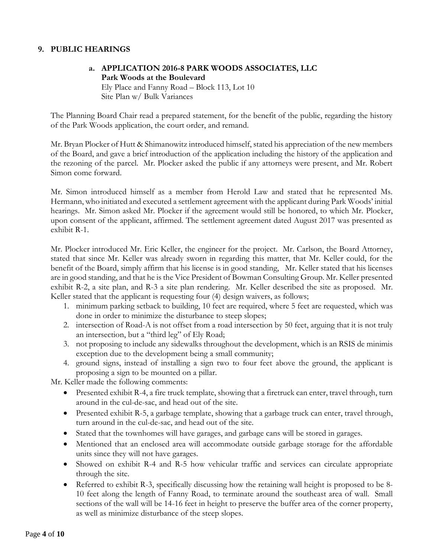## **9. PUBLIC HEARINGS**

# **a. APPLICATION 2016-8 PARK WOODS ASSOCIATES, LLC Park Woods at the Boulevard** Ely Place and Fanny Road – Block 113, Lot 10 Site Plan w/ Bulk Variances

The Planning Board Chair read a prepared statement, for the benefit of the public, regarding the history of the Park Woods application, the court order, and remand.

Mr. Bryan Plocker of Hutt & Shimanowitz introduced himself, stated his appreciation of the new members of the Board, and gave a brief introduction of the application including the history of the application and the rezoning of the parcel. Mr. Plocker asked the public if any attorneys were present, and Mr. Robert Simon come forward.

Mr. Simon introduced himself as a member from Herold Law and stated that he represented Ms. Hermann, who initiated and executed a settlement agreement with the applicant during Park Woods' initial hearings. Mr. Simon asked Mr. Plocker if the agreement would still be honored, to which Mr. Plocker, upon consent of the applicant, affirmed. The settlement agreement dated August 2017 was presented as exhibit R-1.

Mr. Plocker introduced Mr. Eric Keller, the engineer for the project. Mr. Carlson, the Board Attorney, stated that since Mr. Keller was already sworn in regarding this matter, that Mr. Keller could, for the benefit of the Board, simply affirm that his license is in good standing, Mr. Keller stated that his licenses are in good standing, and that he is the Vice President of Bowman Consulting Group. Mr. Keller presented exhibit R-2, a site plan, and R-3 a site plan rendering. Mr. Keller described the site as proposed. Mr. Keller stated that the applicant is requesting four (4) design waivers, as follows;

- 1. minimum parking setback to building, 10 feet are required, where 5 feet are requested, which was done in order to minimize the disturbance to steep slopes;
- 2. intersection of Road-A is not offset from a road intersection by 50 feet, arguing that it is not truly an intersection, but a "third leg" of Ely Road;
- 3. not proposing to include any sidewalks throughout the development, which is an RSIS de minimis exception due to the development being a small community;
- 4. ground signs, instead of installing a sign two to four feet above the ground, the applicant is proposing a sign to be mounted on a pillar.

Mr. Keller made the following comments:

- Presented exhibit R-4, a fire truck template, showing that a firetruck can enter, travel through, turn around in the cul-de-sac, and head out of the site.
- Presented exhibit R-5, a garbage template, showing that a garbage truck can enter, travel through, turn around in the cul-de-sac, and head out of the site.
- Stated that the townhomes will have garages, and garbage cans will be stored in garages.
- Mentioned that an enclosed area will accommodate outside garbage storage for the affordable units since they will not have garages.
- Showed on exhibit R-4 and R-5 how vehicular traffic and services can circulate appropriate through the site.
- Referred to exhibit R-3, specifically discussing how the retaining wall height is proposed to be 8-10 feet along the length of Fanny Road, to terminate around the southeast area of wall. Small sections of the wall will be 14-16 feet in height to preserve the buffer area of the corner property, as well as minimize disturbance of the steep slopes.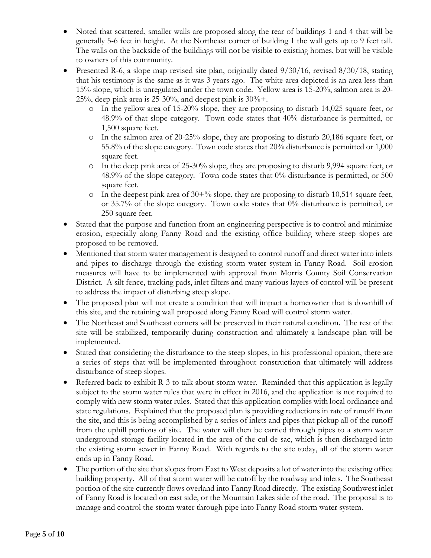- Noted that scattered, smaller walls are proposed along the rear of buildings 1 and 4 that will be generally 5-6 feet in height. At the Northeast corner of building 1 the wall gets up to 9 feet tall. The walls on the backside of the buildings will not be visible to existing homes, but will be visible to owners of this community.
- Presented R-6, a slope map revised site plan, originally dated  $9/30/16$ , revised  $8/30/18$ , stating that his testimony is the same as it was 3 years ago. The white area depicted is an area less than 15% slope, which is unregulated under the town code. Yellow area is 15-20%, salmon area is 20- 25%, deep pink area is 25-30%, and deepest pink is  $30\% +$ .
	- o In the yellow area of 15-20% slope, they are proposing to disturb 14,025 square feet, or 48.9% of that slope category. Town code states that 40% disturbance is permitted, or 1,500 square feet.
	- $\circ$  In the salmon area of 20-25% slope, they are proposing to disturb 20,186 square feet, or 55.8% of the slope category. Town code states that 20% disturbance is permitted or 1,000 square feet.
	- o In the deep pink area of 25-30% slope, they are proposing to disturb 9,994 square feet, or 48.9% of the slope category. Town code states that 0% disturbance is permitted, or 500 square feet.
	- $\circ$  In the deepest pink area of 30+% slope, they are proposing to disturb 10,514 square feet, or 35.7% of the slope category. Town code states that 0% disturbance is permitted, or 250 square feet.
- Stated that the purpose and function from an engineering perspective is to control and minimize erosion, especially along Fanny Road and the existing office building where steep slopes are proposed to be removed.
- Mentioned that storm water management is designed to control runoff and direct water into inlets and pipes to discharge through the existing storm water system in Fanny Road. Soil erosion measures will have to be implemented with approval from Morris County Soil Conservation District. A silt fence, tracking pads, inlet filters and many various layers of control will be present to address the impact of disturbing steep slope.
- The proposed plan will not create a condition that will impact a homeowner that is downhill of this site, and the retaining wall proposed along Fanny Road will control storm water.
- The Northeast and Southeast corners will be preserved in their natural condition. The rest of the site will be stabilized, temporarily during construction and ultimately a landscape plan will be implemented.
- Stated that considering the disturbance to the steep slopes, in his professional opinion, there are a series of steps that will be implemented throughout construction that ultimately will address disturbance of steep slopes.
- Referred back to exhibit R-3 to talk about storm water. Reminded that this application is legally subject to the storm water rules that were in effect in 2016, and the application is not required to comply with new storm water rules. Stated that this application complies with local ordinance and state regulations. Explained that the proposed plan is providing reductions in rate of runoff from the site, and this is being accomplished by a series of inlets and pipes that pickup all of the runoff from the uphill portions of site. The water will then be carried through pipes to a storm water underground storage facility located in the area of the cul-de-sac, which is then discharged into the existing storm sewer in Fanny Road. With regards to the site today, all of the storm water ends up in Fanny Road.
- The portion of the site that slopes from East to West deposits a lot of water into the existing office building property. All of that storm water will be cutoff by the roadway and inlets. The Southeast portion of the site currently flows overland into Fanny Road directly. The existing Southwest inlet of Fanny Road is located on east side, or the Mountain Lakes side of the road. The proposal is to manage and control the storm water through pipe into Fanny Road storm water system.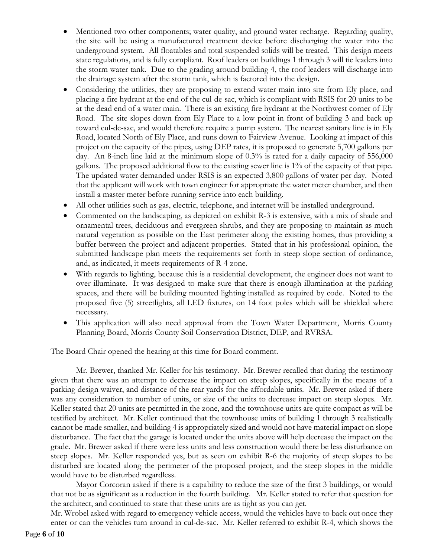- Mentioned two other components; water quality, and ground water recharge. Regarding quality, the site will be using a manufactured treatment device before discharging the water into the underground system. All floatables and total suspended solids will be treated. This design meets state regulations, and is fully compliant. Roof leaders on buildings 1 through 3 will tie leaders into the storm water tank. Due to the grading around building 4, the roof leaders will discharge into the drainage system after the storm tank, which is factored into the design.
- Considering the utilities, they are proposing to extend water main into site from Ely place, and placing a fire hydrant at the end of the cul-de-sac, which is compliant with RSIS for 20 units to be at the dead end of a water main. There is an existing fire hydrant at the Northwest corner of Ely Road. The site slopes down from Ely Place to a low point in front of building 3 and back up toward cul-de-sac, and would therefore require a pump system. The nearest sanitary line is in Ely Road, located North of Ely Place, and runs down to Fairview Avenue. Looking at impact of this project on the capacity of the pipes, using DEP rates, it is proposed to generate 5,700 gallons per day. An 8-inch line laid at the minimum slope of 0.3% is rated for a daily capacity of 556,000 gallons. The proposed additional flow to the existing sewer line is 1% of the capacity of that pipe. The updated water demanded under RSIS is an expected 3,800 gallons of water per day. Noted that the applicant will work with town engineer for appropriate the water meter chamber, and then install a master meter before running service into each building.
- All other utilities such as gas, electric, telephone, and internet will be installed underground.
- Commented on the landscaping, as depicted on exhibit R-3 is extensive, with a mix of shade and ornamental trees, deciduous and evergreen shrubs, and they are proposing to maintain as much natural vegetation as possible on the East perimeter along the existing homes, thus providing a buffer between the project and adjacent properties. Stated that in his professional opinion, the submitted landscape plan meets the requirements set forth in steep slope section of ordinance, and, as indicated, it meets requirements of R-4 zone.
- With regards to lighting, because this is a residential development, the engineer does not want to over illuminate. It was designed to make sure that there is enough illumination at the parking spaces, and there will be building mounted lighting installed as required by code. Noted to the proposed five (5) streetlights, all LED fixtures, on 14 foot poles which will be shielded where necessary.
- This application will also need approval from the Town Water Department, Morris County Planning Board, Morris County Soil Conservation District, DEP, and RVRSA.

The Board Chair opened the hearing at this time for Board comment.

Mr. Brewer, thanked Mr. Keller for his testimony. Mr. Brewer recalled that during the testimony given that there was an attempt to decrease the impact on steep slopes, specifically in the means of a parking design waiver, and distance of the rear yards for the affordable units. Mr. Brewer asked if there was any consideration to number of units, or size of the units to decrease impact on steep slopes. Mr. Keller stated that 20 units are permitted in the zone, and the townhouse units are quite compact as will be testified by architect. Mr. Keller continued that the townhouse units of building 1 through 3 realistically cannot be made smaller, and building 4 is appropriately sized and would not have material impact on slope disturbance. The fact that the garage is located under the units above will help decrease the impact on the grade. Mr. Brewer asked if there were less units and less construction would there be less disturbance on steep slopes. Mr. Keller responded yes, but as seen on exhibit R-6 the majority of steep slopes to be disturbed are located along the perimeter of the proposed project, and the steep slopes in the middle would have to be disturbed regardless.

Mayor Corcoran asked if there is a capability to reduce the size of the first 3 buildings, or would that not be as significant as a reduction in the fourth building. Mr. Keller stated to refer that question for the architect, and continued to state that these units are as tight as you can get.

Mr. Wrobel asked with regard to emergency vehicle access, would the vehicles have to back out once they enter or can the vehicles turn around in cul-de-sac. Mr. Keller referred to exhibit R-4, which shows the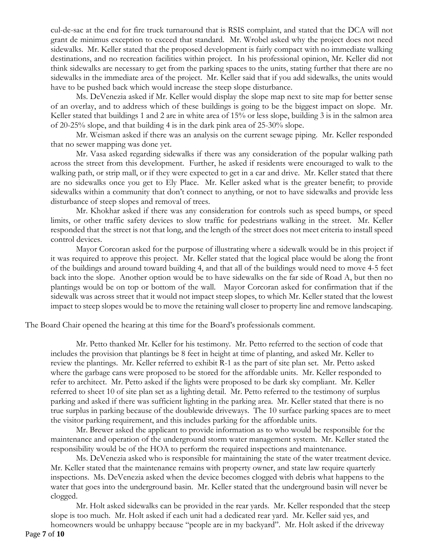cul-de-sac at the end for fire truck turnaround that is RSIS complaint, and stated that the DCA will not grant de minimus exception to exceed that standard. Mr. Wrobel asked why the project does not need sidewalks. Mr. Keller stated that the proposed development is fairly compact with no immediate walking destinations, and no recreation facilities within project. In his professional opinion, Mr. Keller did not think sidewalks are necessary to get from the parking spaces to the units, stating further that there are no sidewalks in the immediate area of the project. Mr. Keller said that if you add sidewalks, the units would have to be pushed back which would increase the steep slope disturbance.

Ms. DeVenezia asked if Mr. Keller would display the slope map next to site map for better sense of an overlay, and to address which of these buildings is going to be the biggest impact on slope. Mr. Keller stated that buildings 1 and 2 are in white area of 15% or less slope, building 3 is in the salmon area of 20-25% slope, and that building 4 is in the dark pink area of 25-30% slope.

Mr. Weisman asked if there was an analysis on the current sewage piping. Mr. Keller responded that no sewer mapping was done yet.

Mr. Vasa asked regarding sidewalks if there was any consideration of the popular walking path across the street from this development. Further, he asked if residents were encouraged to walk to the walking path, or strip mall, or if they were expected to get in a car and drive. Mr. Keller stated that there are no sidewalks once you get to Ely Place. Mr. Keller asked what is the greater benefit; to provide sidewalks within a community that don't connect to anything, or not to have sidewalks and provide less disturbance of steep slopes and removal of trees.

Mr. Khokhar asked if there was any consideration for controls such as speed bumps, or speed limits, or other traffic safety devices to slow traffic for pedestrians walking in the street. Mr. Keller responded that the street is not that long, and the length of the street does not meet criteria to install speed control devices.

Mayor Corcoran asked for the purpose of illustrating where a sidewalk would be in this project if it was required to approve this project. Mr. Keller stated that the logical place would be along the front of the buildings and around toward building 4, and that all of the buildings would need to move 4-5 feet back into the slope. Another option would be to have sidewalks on the far side of Road A, but then no plantings would be on top or bottom of the wall. Mayor Corcoran asked for confirmation that if the sidewalk was across street that it would not impact steep slopes, to which Mr. Keller stated that the lowest impact to steep slopes would be to move the retaining wall closer to property line and remove landscaping.

The Board Chair opened the hearing at this time for the Board's professionals comment.

Mr. Petto thanked Mr. Keller for his testimony. Mr. Petto referred to the section of code that includes the provision that plantings be 8 feet in height at time of planting, and asked Mr. Keller to review the plantings. Mr. Keller referred to exhibit R-1 as the part of site plan set. Mr. Petto asked where the garbage cans were proposed to be stored for the affordable units. Mr. Keller responded to refer to architect. Mr. Petto asked if the lights were proposed to be dark sky compliant. Mr. Keller referred to sheet 10 of site plan set as a lighting detail. Mr. Petto referred to the testimony of surplus parking and asked if there was sufficient lighting in the parking area. Mr. Keller stated that there is no true surplus in parking because of the doublewide driveways. The 10 surface parking spaces are to meet the visitor parking requirement, and this includes parking for the affordable units.

Mr. Brewer asked the applicant to provide information as to who would be responsible for the maintenance and operation of the underground storm water management system. Mr. Keller stated the responsibility would be of the HOA to perform the required inspections and maintenance.

Ms. DeVenezia asked who is responsible for maintaining the state of the water treatment device. Mr. Keller stated that the maintenance remains with property owner, and state law require quarterly inspections. Ms. DeVenezia asked when the device becomes clogged with debris what happens to the water that goes into the underground basin. Mr. Keller stated that the underground basin will never be clogged.

Mr. Holt asked sidewalks can be provided in the rear yards. Mr. Keller responded that the steep slope is too much. Mr. Holt asked if each unit had a dedicated rear yard. Mr. Keller said yes, and homeowners would be unhappy because "people are in my backyard". Mr. Holt asked if the driveway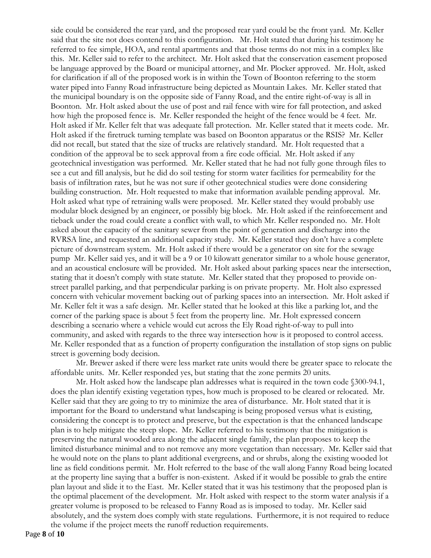side could be considered the rear yard, and the proposed rear yard could be the front yard. Mr. Keller said that the site not does contend to this configuration. Mr. Holt stated that during his testimony he referred to fee simple, HOA, and rental apartments and that those terms do not mix in a complex like this. Mr. Keller said to refer to the architect. Mr. Holt asked that the conservation easement proposed be language approved by the Board or municipal attorney, and Mr. Plocker approved. Mr. Holt, asked for clarification if all of the proposed work is in within the Town of Boonton referring to the storm water piped into Fanny Road infrastructure being depicted as Mountain Lakes. Mr. Keller stated that the municipal boundary is on the opposite side of Fanny Road, and the entire right-of-way is all in Boonton. Mr. Holt asked about the use of post and rail fence with wire for fall protection, and asked how high the proposed fence is. Mr. Keller responded the height of the fence would be 4 feet. Mr. Holt asked if Mr. Keller felt that was adequate fall protection. Mr. Keller stated that it meets code. Mr. Holt asked if the firetruck turning template was based on Boonton apparatus or the RSIS? Mr. Keller did not recall, but stated that the size of trucks are relatively standard. Mr. Holt requested that a condition of the approval be to seek approval from a fire code official. Mr. Holt asked if any geotechnical investigation was performed. Mr. Keller stated that he had not fully gone through files to see a cut and fill analysis, but he did do soil testing for storm water facilities for permeability for the basis of infiltration rates, but he was not sure if other geotechnical studies were done considering building construction. Mr. Holt requested to make that information available pending approval. Mr. Holt asked what type of retraining walls were proposed. Mr. Keller stated they would probably use modular block designed by an engineer, or possibly big block. Mr. Holt asked if the reinforcement and tieback under the road could create a conflict with wall, to which Mr. Keller responded no. Mr. Holt asked about the capacity of the sanitary sewer from the point of generation and discharge into the RVRSA line, and requested an additional capacity study. Mr. Keller stated they don't have a complete picture of downstream system. Mr. Holt asked if there would be a generator on site for the sewage pump Mr. Keller said yes, and it will be a 9 or 10 kilowatt generator similar to a whole house generator, and an acoustical enclosure will be provided. Mr. Holt asked about parking spaces near the intersection, stating that it doesn't comply with state statute. Mr. Keller stated that they proposed to provide onstreet parallel parking, and that perpendicular parking is on private property. Mr. Holt also expressed concern with vehicular movement backing out of parking spaces into an intersection. Mr. Holt asked if Mr. Keller felt it was a safe design. Mr. Keller stated that he looked at this like a parking lot, and the corner of the parking space is about 5 feet from the property line. Mr. Holt expressed concern describing a scenario where a vehicle would cut across the Ely Road right-of-way to pull into community, and asked with regards to the three way intersection how is it proposed to control access. Mr. Keller responded that as a function of property configuration the installation of stop signs on public street is governing body decision.

Mr. Brewer asked if there were less market rate units would there be greater space to relocate the affordable units. Mr. Keller responded yes, but stating that the zone permits 20 units.

Mr. Holt asked how the landscape plan addresses what is required in the town code §300-94.1, does the plan identify existing vegetation types, how much is proposed to be cleared or relocated. Mr. Keller said that they are going to try to minimize the area of disturbance. Mr. Holt stated that it is important for the Board to understand what landscaping is being proposed versus what is existing, considering the concept is to protect and preserve, but the expectation is that the enhanced landscape plan is to help mitigate the steep slope. Mr. Keller referred to his testimony that the mitigation is preserving the natural wooded area along the adjacent single family, the plan proposes to keep the limited disturbance minimal and to not remove any more vegetation than necessary. Mr. Keller said that he would note on the plans to plant additional evergreens, and or shrubs, along the existing wooded lot line as field conditions permit. Mr. Holt referred to the base of the wall along Fanny Road being located at the property line saying that a buffer is non-existent. Asked if it would be possible to grab the entire plan layout and slide it to the East. Mr. Keller stated that it was his testimony that the proposed plan is the optimal placement of the development. Mr. Holt asked with respect to the storm water analysis if a greater volume is proposed to be released to Fanny Road as is imposed to today. Mr. Keller said absolutely, and the system does comply with state regulations. Furthermore, it is not required to reduce the volume if the project meets the runoff reduction requirements.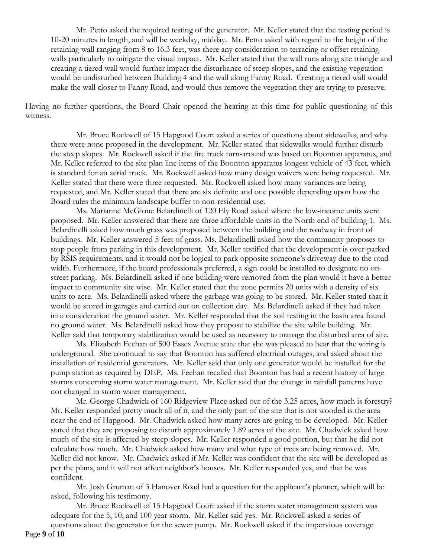Mr. Petto asked the required testing of the generator. Mr. Keller stated that the testing period is 10-20 minutes in length, and will be weekday, midday. Mr. Petto asked with regard to the height of the retaining wall ranging from 8 to 16.3 feet, was there any consideration to terracing or offset retaining walls particularly to mitigate the visual impact. Mr. Keller stated that the wall runs along site triangle and creating a tiered wall would further impact the disturbance of steep slopes, and the existing vegetation would be undisturbed between Building 4 and the wall along Fanny Road. Creating a tiered wall would make the wall closer to Fanny Road, and would thus remove the vegetation they are trying to preserve.

Having no further questions, the Board Chair opened the hearing at this time for public questioning of this witness.

Mr. Bruce Rockwell of 15 Hapgood Court asked a series of questions about sidewalks, and why there were none proposed in the development. Mr. Keller stated that sidewalks would further disturb the steep slopes. Mr. Rockwell asked if the fire truck turn-around was based on Boonton apparatus, and Mr. Keller referred to the site plan line items of the Boonton apparatus longest vehicle of 43 feet, which is standard for an aerial truck. Mr. Rockwell asked how many design waivers were being requested. Mr. Keller stated that there were three requested. Mr. Rockwell asked how many variances are being requested, and Mr. Keller stated that there are six definite and one possible depending upon how the Board rules the minimum landscape buffer to non-residential use.

Ms. Marianne McGlone Belardinelli of 120 Ely Road asked where the low-income units were proposed. Mr. Keller answered that there are three affordable units in the North end of building 1. Ms. Belardinelli asked how much grass was proposed between the building and the roadway in front of buildings. Mr. Keller answered 5 feet of grass. Ms. Belardinelli asked how the community proposes to stop people from parking in this development. Mr. Keller testified that the development is over-parked by RSIS requirements, and it would not be logical to park opposite someone's driveway due to the road width. Furthermore, if the board professionals preferred, a sign could be installed to designate no onstreet parking. Ms. Belardinelli asked if one building were removed from the plan would it have a better impact to community site wise. Mr. Keller stated that the zone permits 20 units with a density of six units to acre. Ms. Belardinelli asked where the garbage was going to be stored. Mr. Keller stated that it would be stored in garages and carried out on collection day. Ms. Belardinelli asked if they had taken into consideration the ground water. Mr. Keller responded that the soil testing in the basin area found no ground water. Ms. Belardinelli asked how they propose to stabilize the site while building. Mr. Keller said that temporary stabilization would be used as necessary to manage the disturbed area of site.

Ms. Elizabeth Feehan of 500 Essex Avenue state that she was pleased to hear that the wiring is underground. She continued to say that Boonton has suffered electrical outages, and asked about the installation of residential generators. Mr. Keller said that only one generator would be installed for the pump station as required by DEP. Ms. Feehan recalled that Boonton has had a recent history of large storms concerning storm water management. Mr. Keller said that the change in rainfall patterns have not changed in storm water management.

Mr. George Chadwick of 160 Ridgeview Place asked out of the 3.25 acres, how much is forestry? Mr. Keller responded pretty much all of it, and the only part of the site that is not wooded is the area near the end of Hapgood. Mr. Chadwick asked how many acres are going to be developed. Mr. Keller stated that they are proposing to disturb approximately 1.89 acres of the site. Mr. Chadwick asked how much of the site is affected by steep slopes. Mr. Keller responded a good portion, but that he did not calculate how much. Mr. Chadwick asked how many and what type of trees are being removed. Mr. Keller did not know. Mr. Chadwick asked if Mr. Keller was confident that the site will be developed as per the plans, and it will not affect neighbor's houses. Mr. Keller responded yes, and that he was confident.

Mr. Josh Gruman of 3 Hanover Road had a question for the applicant's planner, which will be asked, following his testimony.

Mr. Bruce Rockwell of 15 Hapgood Court asked if the storm water management system was adequate for the 5, 10, and 100 year storm. Mr. Keller said yes. Mr. Rockwell asked a series of questions about the generator for the sewer pump. Mr. Rockwell asked if the impervious coverage